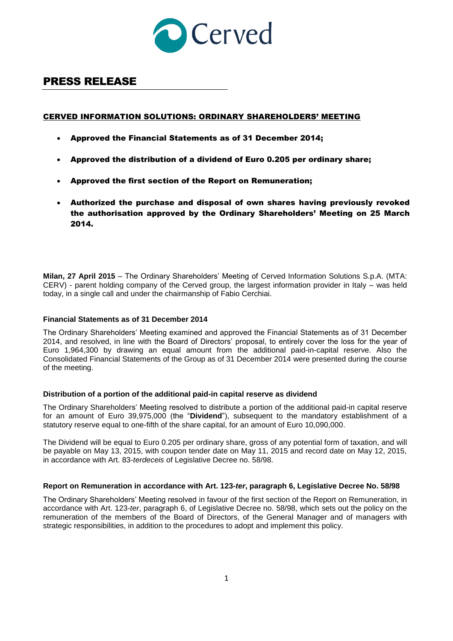

# PRESS RELEASE

## CERVED INFORMATION SOLUTIONS: ORDINARY SHAREHOLDERS' MEETING

- Approved the Financial Statements as of 31 December 2014;
- Approved the distribution of a dividend of Euro 0.205 per ordinary share;
- Approved the first section of the Report on Remuneration;
- Authorized the purchase and disposal of own shares having previously revoked the authorisation approved by the Ordinary Shareholders' Meeting on 25 March 2014.

**Milan, 27 April 2015** – The Ordinary Shareholders' Meeting of Cerved Information Solutions S.p.A. (MTA: CERV) - parent holding company of the Cerved group, the largest information provider in Italy – was held today, in a single call and under the chairmanship of Fabio Cerchiai.

#### **Financial Statements as of 31 December 2014**

The Ordinary Shareholders' Meeting examined and approved the Financial Statements as of 31 December 2014, and resolved, in line with the Board of Directors' proposal, to entirely cover the loss for the year of Euro 1,964,300 by drawing an equal amount from the additional paid-in-capital reserve. Also the Consolidated Financial Statements of the Group as of 31 December 2014 were presented during the course of the meeting.

#### **Distribution of a portion of the additional paid-in capital reserve as dividend**

The Ordinary Shareholders' Meeting resolved to distribute a portion of the additional paid-in capital reserve for an amount of Euro 39,975,000 (the "**Dividend**"), subsequent to the mandatory establishment of a statutory reserve equal to one-fifth of the share capital, for an amount of Euro 10,090,000.

The Dividend will be equal to Euro 0.205 per ordinary share, gross of any potential form of taxation, and will be payable on May 13, 2015, with coupon tender date on May 11, 2015 and record date on May 12, 2015, in accordance with Art. 83-*terdeceis* of Legislative Decree no. 58/98.

#### **Report on Remuneration in accordance with Art. 123-***ter***, paragraph 6, Legislative Decree No. 58/98**

The Ordinary Shareholders' Meeting resolved in favour of the first section of the Report on Remuneration, in accordance with Art. 123-*ter*, paragraph 6, of Legislative Decree no. 58/98, which sets out the policy on the remuneration of the members of the Board of Directors, of the General Manager and of managers with strategic responsibilities, in addition to the procedures to adopt and implement this policy.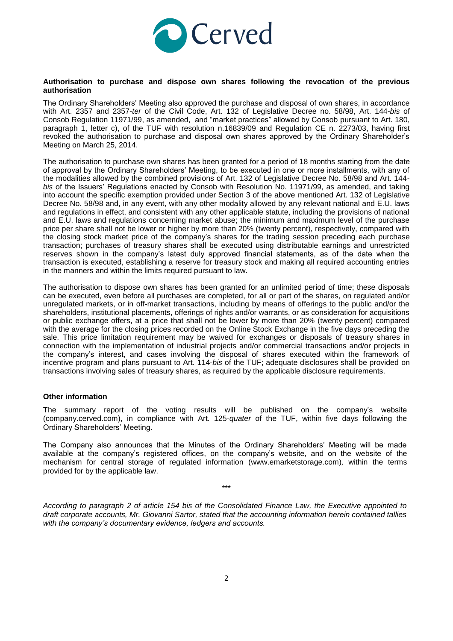

#### **Authorisation to purchase and dispose own shares following the revocation of the previous authorisation**

The Ordinary Shareholders' Meeting also approved the purchase and disposal of own shares, in accordance with Art. 2357 and 2357-*ter* of the Civil Code, Art. 132 of Legislative Decree no. 58/98, Art. 144-*bis* of Consob Regulation 11971/99, as amended, and "market practices" allowed by Consob pursuant to Art. 180, paragraph 1, letter c), of the TUF with resolution n.16839/09 and Regulation CE n. 2273/03, having first revoked the authorisation to purchase and disposal own shares approved by the Ordinary Shareholder's Meeting on March 25, 2014.

The authorisation to purchase own shares has been granted for a period of 18 months starting from the date of approval by the Ordinary Shareholders' Meeting, to be executed in one or more installments, with any of the modalities allowed by the combined provisions of Art. 132 of Legislative Decree No. 58/98 and Art. 144 *bis* of the Issuers' Regulations enacted by Consob with Resolution No. 11971/99, as amended, and taking into account the specific exemption provided under Section 3 of the above mentioned Art. 132 of Legislative Decree No. 58/98 and, in any event, with any other modality allowed by any relevant national and E.U. laws and regulations in effect, and consistent with any other applicable statute, including the provisions of national and E.U. laws and regulations concerning market abuse; the minimum and maximum level of the purchase price per share shall not be lower or higher by more than 20% (twenty percent), respectively, compared with the closing stock market price of the company's shares for the trading session preceding each purchase transaction; purchases of treasury shares shall be executed using distributable earnings and unrestricted reserves shown in the company's latest duly approved financial statements, as of the date when the transaction is executed, establishing a reserve for treasury stock and making all required accounting entries in the manners and within the limits required pursuant to law.

The authorisation to dispose own shares has been granted for an unlimited period of time; these disposals can be executed, even before all purchases are completed, for all or part of the shares, on regulated and/or unregulated markets, or in off-market transactions, including by means of offerings to the public and/or the shareholders, institutional placements, offerings of rights and/or warrants, or as consideration for acquisitions or public exchange offers, at a price that shall not be lower by more than 20% (twenty percent) compared with the average for the closing prices recorded on the Online Stock Exchange in the five days preceding the sale. This price limitation requirement may be waived for exchanges or disposals of treasury shares in connection with the implementation of industrial projects and/or commercial transactions and/or projects in the company's interest, and cases involving the disposal of shares executed within the framework of incentive program and plans pursuant to Art. 114-*bis* of the TUF; adequate disclosures shall be provided on transactions involving sales of treasury shares, as required by the applicable disclosure requirements.

### **Other information**

The summary report of the voting results will be published on the company's website (company.cerved.com), in compliance with Art. 125-*quater* of the TUF, within five days following the Ordinary Shareholders' Meeting.

The Company also announces that the Minutes of the Ordinary Shareholders' Meeting will be made available at the company's registered offices, on the company's website, and on the website of the mechanism for central storage of regulated information (www.emarketstorage.com)*,* within the terms provided for by the applicable law.

\*\*\*

*According to paragraph 2 of article 154 bis of the Consolidated Finance Law, the Executive appointed to draft corporate accounts, Mr. Giovanni Sartor, stated that the accounting information herein contained tallies with the company's documentary evidence, ledgers and accounts.*